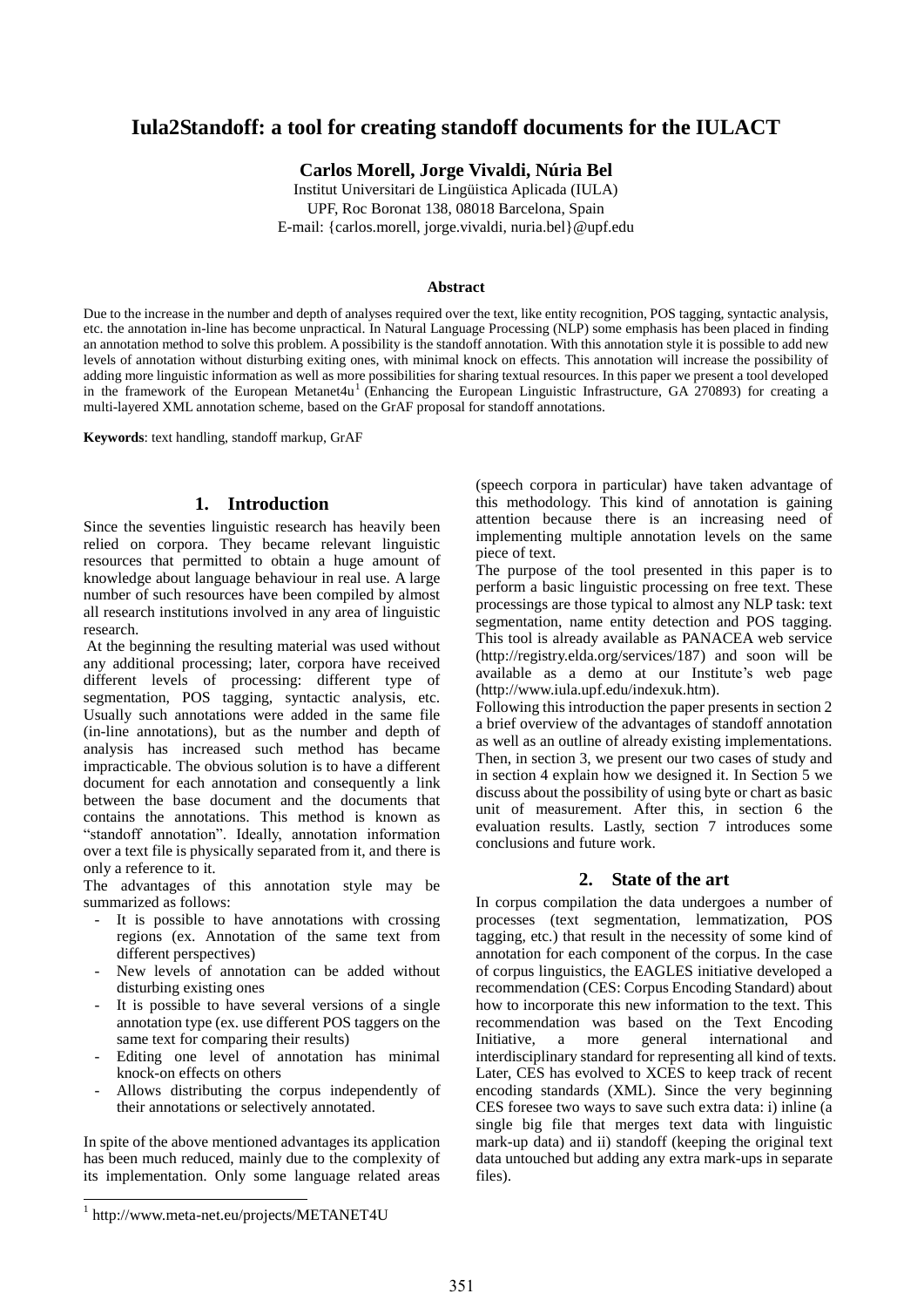# **Iula2Standoff: a tool for creating standoff documents for the IULACT**

**Carlos Morell, Jorge Vivaldi, Núria Bel**

Institut Universitari de Lingüistica Aplicada (IULA) UPF, Roc Boronat 138, 08018 Barcelona, Spain E-mail: {carlos.morell, jorge.vivaldi, nuria.bel}@upf.edu

#### **Abstract**

Due to the increase in the number and depth of analyses required over the text, like entity recognition, POS tagging, syntactic analysis, etc. the annotation in-line has become unpractical. In Natural Language Processing (NLP) some emphasis has been placed in finding an annotation method to solve this problem. A possibility is the standoff annotation. With this annotation style it is possible to add new levels of annotation without disturbing exiting ones, with minimal knock on effects. This annotation will increase the possibility of adding more linguistic information as well as more possibilities for sharing textual resources. In this paper we present a tool developed in the framework of the European Metanet4u<sup>1</sup> (Enhancing the European Linguistic Infrastructure, GA 270893) for creating a multi-layered XML annotation scheme, based on the GrAF proposal for standoff annotations.

**Keywords**: text handling, standoff markup, GrAF

# **1. Introduction**

Since the seventies linguistic research has heavily been relied on corpora. They became relevant linguistic resources that permitted to obtain a huge amount of knowledge about language behaviour in real use. A large number of such resources have been compiled by almost all research institutions involved in any area of linguistic research.

At the beginning the resulting material was used without any additional processing; later, corpora have received different levels of processing: different type of segmentation, POS tagging, syntactic analysis, etc. Usually such annotations were added in the same file (in-line annotations), but as the number and depth of analysis has increased such method has became impracticable. The obvious solution is to have a different document for each annotation and consequently a link between the base document and the documents that contains the annotations. This method is known as "standoff annotation". Ideally, annotation information over a text file is physically separated from it, and there is only a reference to it.

The advantages of this annotation style may be summarized as follows:

- It is possible to have annotations with crossing regions (ex. Annotation of the same text from different perspectives)
- New levels of annotation can be added without disturbing existing ones
- It is possible to have several versions of a single annotation type (ex. use different POS taggers on the same text for comparing their results)
- Editing one level of annotation has minimal knock-on effects on others
- Allows distributing the corpus independently of their annotations or selectively annotated.

In spite of the above mentioned advantages its application has been much reduced, mainly due to the complexity of its implementation. Only some language related areas

(speech corpora in particular) have taken advantage of this methodology. This kind of annotation is gaining attention because there is an increasing need of implementing multiple annotation levels on the same piece of text.

The purpose of the tool presented in this paper is to perform a basic linguistic processing on free text. These processings are those typical to almost any NLP task: text segmentation, name entity detection and POS tagging. This tool is already available as PANACEA web service (http://registry.elda.org/services/187) and soon will be available as a demo at our Institute"s web page (http://www.iula.upf.edu/indexuk.htm).

Following this introduction the paper presents in section 2 a brief overview of the advantages of standoff annotation as well as an outline of already existing implementations. Then, in section 3, we present our two cases of study and in section 4 explain how we designed it. In Section 5 we discuss about the possibility of using byte or chart as basic unit of measurement. After this, in section 6 the evaluation results. Lastly, section 7 introduces some conclusions and future work.

# **2. State of the art**

In corpus compilation the data undergoes a number of processes (text segmentation, lemmatization, POS tagging, etc.) that result in the necessity of some kind of annotation for each component of the corpus. In the case of corpus linguistics, the EAGLES initiative developed a recommendation (CES: Corpus Encoding Standard) about how to incorporate this new information to the text. This recommendation was based on the Text Encoding Initiative, a more general international and interdisciplinary standard for representing all kind of texts. Later, CES has evolved to XCES to keep track of recent encoding standards (XML). Since the very beginning CES foresee two ways to save such extra data: i) inline (a single big file that merges text data with linguistic mark-up data) and ii) standoff (keeping the original text data untouched but adding any extra mark-ups in separate files).

l

<sup>1</sup> http://www.meta-net.eu/projects/METANET4U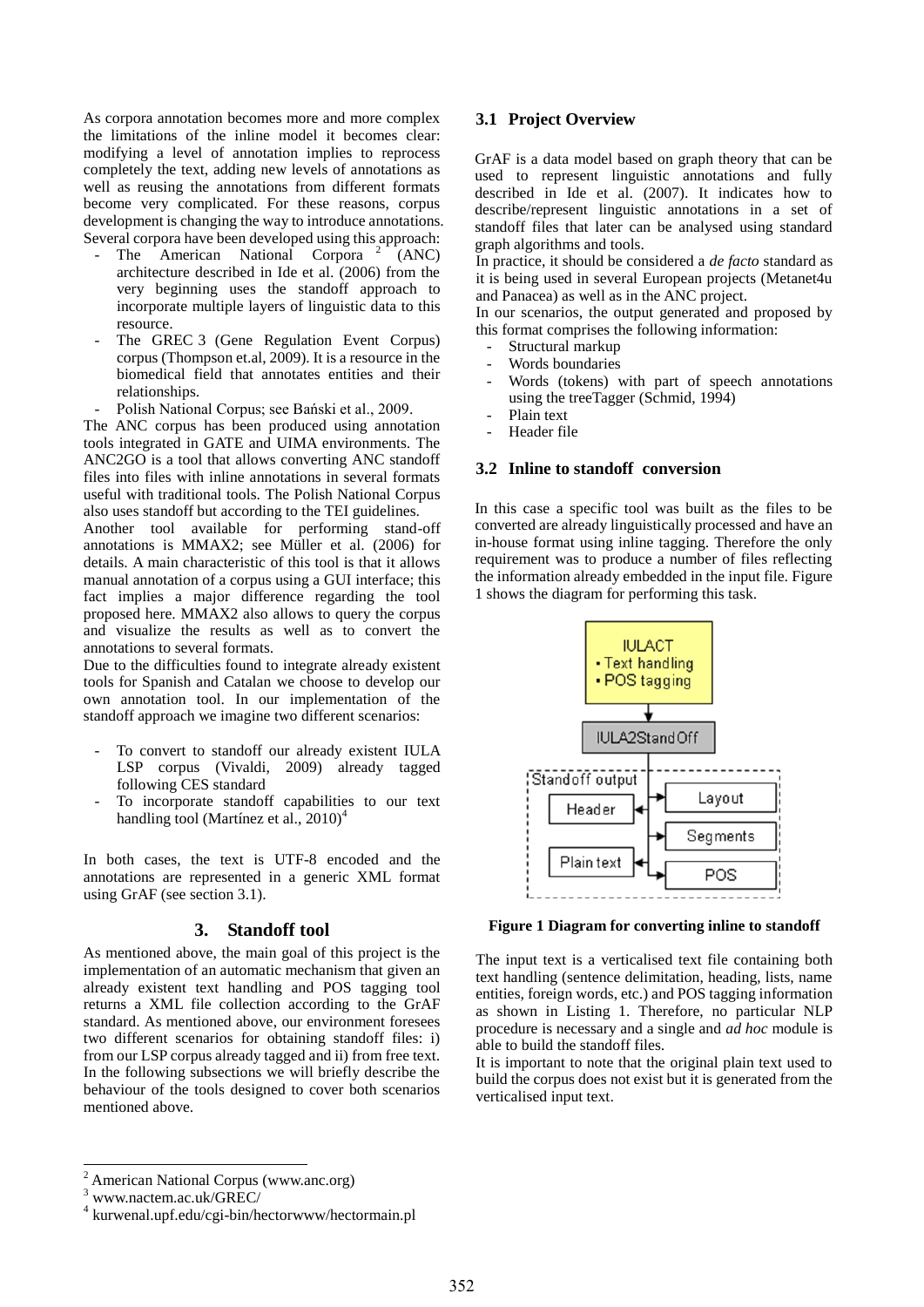As corpora annotation becomes more and more complex the limitations of the inline model it becomes clear: modifying a level of annotation implies to reprocess completely the text, adding new levels of annotations as well as reusing the annotations from different formats become very complicated. For these reasons, corpus development is changing the way to introduce annotations. Several corpora have been developed using this approach:

- The American National Corpora<sup>2</sup> (ANC) architecture described in Ide et al. (2006) from the very beginning uses the standoff approach to incorporate multiple layers of linguistic data to this resource.
- The GREC 3 (Gene Regulation Event Corpus) corpus (Thompson et.al, 2009). It is a resource in the biomedical field that annotates entities and their relationships.
- Polish National Corpus; see Bański et al., 2009.

The ANC corpus has been produced using annotation tools integrated in GATE and UIMA environments. The ANC2GO is a tool that allows converting ANC standoff files into files with inline annotations in several formats useful with traditional tools. The Polish National Corpus also uses standoff but according to the TEI guidelines.

Another tool available for performing stand-off annotations is MMAX2; see Müller et al. (2006) for details. A main characteristic of this tool is that it allows manual annotation of a corpus using a GUI interface; this fact implies a major difference regarding the tool proposed here. MMAX2 also allows to query the corpus and visualize the results as well as to convert the annotations to several formats.

Due to the difficulties found to integrate already existent tools for Spanish and Catalan we choose to develop our own annotation tool. In our implementation of the standoff approach we imagine two different scenarios:

- To convert to standoff our already existent IULA LSP corpus (Vivaldi, 2009) already tagged following CES standard
- To incorporate standoff capabilities to our text handling tool (Martínez et al.,  $2010<sup>4</sup>$

In both cases, the text is UTF-8 encoded and the annotations are represented in a generic XML format using GrAF (see section 3.1).

### **3. Standoff tool**

As mentioned above, the main goal of this project is the implementation of an automatic mechanism that given an already existent text handling and POS tagging tool returns a XML file collection according to the GrAF standard. As mentioned above, our environment foresees two different scenarios for obtaining standoff files: i) from our LSP corpus already tagged and ii) from free text. In the following subsections we will briefly describe the behaviour of the tools designed to cover both scenarios mentioned above.

### **3.1 Project Overview**

GrAF is a data model based on graph theory that can be used to represent linguistic annotations and fully described in Ide et al. (2007). It indicates how to describe/represent linguistic annotations in a set of standoff files that later can be analysed using standard graph algorithms and tools.

In practice, it should be considered a *de facto* standard as it is being used in several European projects (Metanet4u and Panacea) as well as in the ANC project.

In our scenarios, the output generated and proposed by this format comprises the following information:

- Structural markup
- Words boundaries
- Words (tokens) with part of speech annotations using the treeTagger (Schmid, 1994)
- Plain text
- Header file

### **3.2 Inline to standoff conversion**

In this case a specific tool was built as the files to be converted are already linguistically processed and have an in-house format using inline tagging. Therefore the only requirement was to produce a number of files reflecting the information already embedded in the input file. Figure 1 shows the diagram for performing this task.



**Figure 1 Diagram for converting inline to standoff**

The input text is a verticalised text file containing both text handling (sentence delimitation, heading, lists, name entities, foreign words, etc.) and POS tagging information as shown in Listing 1. Therefore, no particular NLP procedure is necessary and a single and *ad hoc* module is able to build the standoff files.

It is important to note that the original plain text used to build the corpus does not exist but it is generated from the verticalised input text.

l

<sup>2</sup> American National Corpus (www.anc.org)

<sup>3</sup> www.nactem.ac.uk/GREC/

<sup>4</sup> kurwenal.upf.edu/cgi-bin/hectorwww/hectormain.pl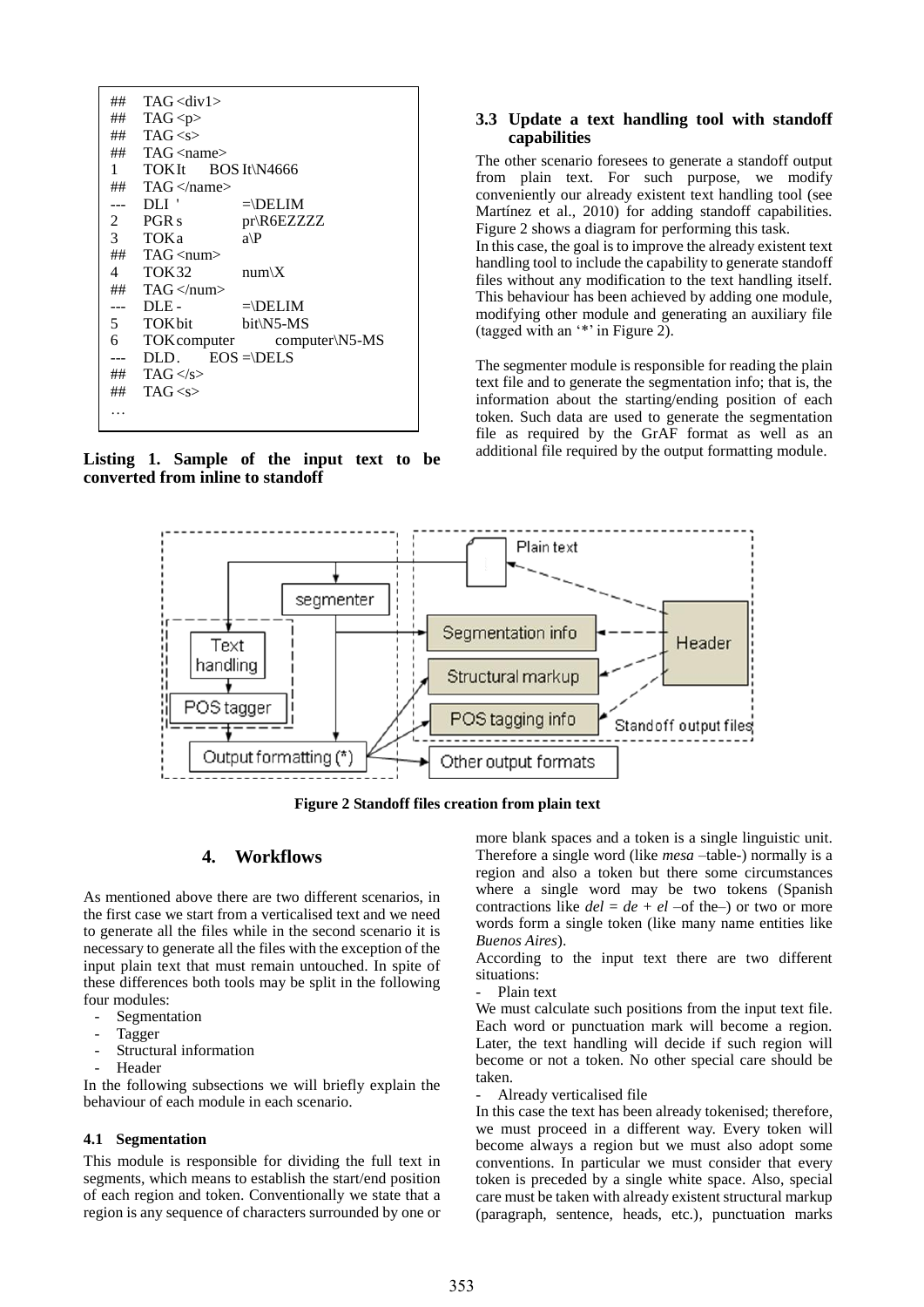| ##    | $TAG <$ div1>                     |                             |
|-------|-----------------------------------|-----------------------------|
|       | ## TAG <p></p>                    |                             |
|       | ## $TAG < s>$                     |                             |
|       | $\#$ TAG $\langle$ name $\rangle$ |                             |
|       | 1 TOKIt BOS It\N4666              |                             |
|       | $\#$ TAG $\langle$ name $\rangle$ |                             |
|       | --- DLI '                         | $=\Delta$                   |
|       | 2 PGR s                           | $pr$ \R6EZZZZZ              |
|       | 3 TOKa                            | $a \backslash P$            |
|       | $\#$ TAG $\langle$ num $\rangle$  |                             |
|       | 4 TOK32                           | $num \ X$                   |
|       | $\#$ TAG $\lt$ /num $>$           |                             |
| --- - | DLE-                              | $=\Delta ELM$               |
|       | 5 TOKbit                          | bit\N5-MS                   |
| 6     |                                   | TOK computer computer\N5-MS |
|       | $DLD.$ $EOS = \DELS$              |                             |
|       | ## TAG $\langle$ /s>              |                             |
|       | ## $TAG < s$ >                    |                             |
|       |                                   |                             |
|       |                                   |                             |

**Listing 1. Sample of the input text to be converted from inline to standoff**

### **3.3 Update a text handling tool with standoff capabilities**

The other scenario foresees to generate a standoff output from plain text. For such purpose, we modify conveniently our already existent text handling tool (see Martínez et al., 2010) for adding standoff capabilities. Figure 2 shows a diagram for performing this task. In this case, the goal is to improve the already existent text

handling tool to include the capability to generate standoff files without any modification to the text handling itself. This behaviour has been achieved by adding one module, modifying other module and generating an auxiliary file (tagged with an "\*" in Figure 2).

The segmenter module is responsible for reading the plain text file and to generate the segmentation info; that is, the information about the starting/ending position of each token. Such data are used to generate the segmentation file as required by the GrAF format as well as an additional file required by the output formatting module.



**Figure 2 Standoff files creation from plain text**

#### **4. Workflows**

As mentioned above there are two different scenarios, in the first case we start from a verticalised text and we need to generate all the files while in the second scenario it is necessary to generate all the files with the exception of the input plain text that must remain untouched. In spite of these differences both tools may be split in the following four modules:

- Segmentation
- **Tagger**
- Structural information
- Header

In the following subsections we will briefly explain the behaviour of each module in each scenario.

#### **4.1 Segmentation**

This module is responsible for dividing the full text in segments, which means to establish the start/end position of each region and token. Conventionally we state that a region is any sequence of characters surrounded by one or more blank spaces and a token is a single linguistic unit. Therefore a single word (like *mesa* –table-) normally is a region and also a token but there some circumstances where a single word may be two tokens (Spanish contractions like  $del = de + el$  –of the–) or two or more words form a single token (like many name entities like *Buenos Aires*).

According to the input text there are two different situations:

Plain text

We must calculate such positions from the input text file. Each word or punctuation mark will become a region. Later, the text handling will decide if such region will become or not a token. No other special care should be taken.

Already verticalised file

In this case the text has been already tokenised; therefore, we must proceed in a different way. Every token will become always a region but we must also adopt some conventions. In particular we must consider that every token is preceded by a single white space. Also, special care must be taken with already existent structural markup (paragraph, sentence, heads, etc.), punctuation marks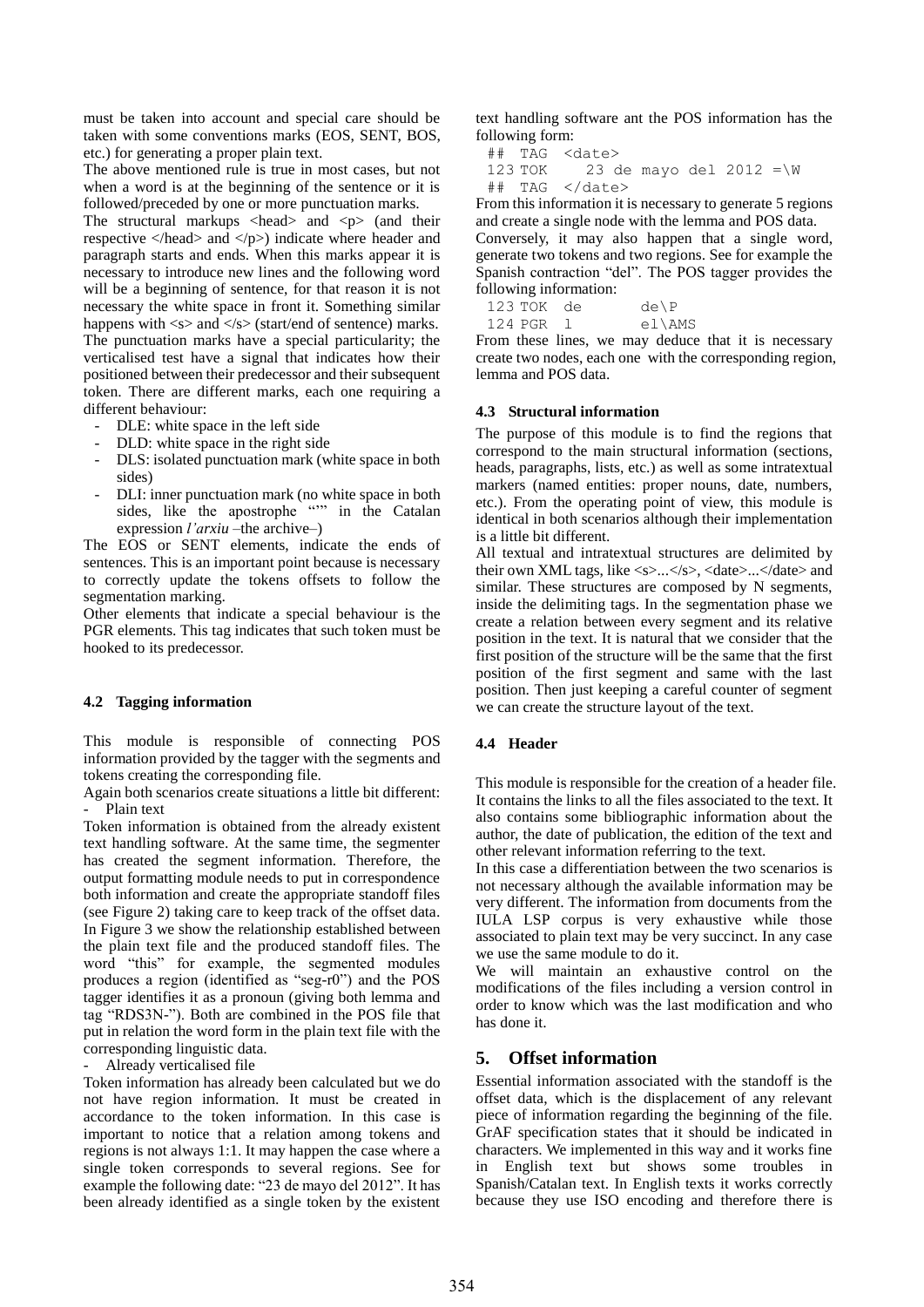must be taken into account and special care should be taken with some conventions marks (EOS, SENT, BOS, etc.) for generating a proper plain text.

The above mentioned rule is true in most cases, but not when a word is at the beginning of the sentence or it is followed/preceded by one or more punctuation marks.

The structural markups  $\langle head \rangle$  and  $\langle p \rangle$  (and their respective  $\langle$ head $\rangle$  and  $\langle$ /p $\rangle$ ) indicate where header and paragraph starts and ends. When this marks appear it is necessary to introduce new lines and the following word will be a beginning of sentence, for that reason it is not necessary the white space in front it. Something similar happens with  $\ll$  and  $\ll$  (start/end of sentence) marks. The punctuation marks have a special particularity; the verticalised test have a signal that indicates how their positioned between their predecessor and their subsequent token. There are different marks, each one requiring a different behaviour:

- DLE: white space in the left side
- DLD: white space in the right side
- DLS: isolated punctuation mark (white space in both sides)
- DLI: inner punctuation mark (no white space in both sides, like the apostrophe "" in the Catalan expression *l'arxiu* –the archive–)

The EOS or SENT elements, indicate the ends of sentences. This is an important point because is necessary to correctly update the tokens offsets to follow the segmentation marking.

Other elements that indicate a special behaviour is the PGR elements. This tag indicates that such token must be hooked to its predecessor.

### **4.2 Tagging information**

This module is responsible of connecting POS information provided by the tagger with the segments and tokens creating the corresponding file.

Again both scenarios create situations a little bit different: Plain text

Token information is obtained from the already existent text handling software. At the same time, the segmenter has created the segment information. Therefore, the output formatting module needs to put in correspondence both information and create the appropriate standoff files (see Figure 2) taking care to keep track of the offset data. In Figure 3 we show the relationship established between the plain text file and the produced standoff files. The word "this" for example, the segmented modules produces a region (identified as "seg-r0") and the POS tagger identifies it as a pronoun (giving both lemma and tag "RDS3N-"). Both are combined in the POS file that put in relation the word form in the plain text file with the corresponding linguistic data.

Already verticalised file

Token information has already been calculated but we do not have region information. It must be created in accordance to the token information. In this case is important to notice that a relation among tokens and regions is not always 1:1. It may happen the case where a single token corresponds to several regions. See for example the following date: "23 de mayo del 2012". It has been already identified as a single token by the existent

text handling software ant the POS information has the following form:

```
## TAG <date>
123 TOK 23 de mayo del 2012 =\W
```
## TAG </date>

From this information it is necessary to generate 5 regions and create a single node with the lemma and POS data.

Conversely, it may also happen that a single word, generate two tokens and two regions. See for example the Spanish contraction "del". The POS tagger provides the following information:

 $123$  TOK de de\P 124 PGR l el\AMS

From these lines, we may deduce that it is necessary create two nodes, each one with the corresponding region, lemma and POS data.

### **4.3 Structural information**

The purpose of this module is to find the regions that correspond to the main structural information (sections, heads, paragraphs, lists, etc.) as well as some intratextual markers (named entities: proper nouns, date, numbers, etc.). From the operating point of view, this module is identical in both scenarios although their implementation is a little bit different.

All textual and intratextual structures are delimited by their own XML tags, like  $\langle s \rangle \sim \langle s \rangle$ ,  $\langle \langle \text{date} \rangle \sim \langle \text{date} \rangle$  and similar. These structures are composed by N segments, inside the delimiting tags. In the segmentation phase we create a relation between every segment and its relative position in the text. It is natural that we consider that the first position of the structure will be the same that the first position of the first segment and same with the last position. Then just keeping a careful counter of segment we can create the structure layout of the text.

### **4.4 Header**

This module is responsible for the creation of a header file. It contains the links to all the files associated to the text. It also contains some bibliographic information about the author, the date of publication, the edition of the text and other relevant information referring to the text.

In this case a differentiation between the two scenarios is not necessary although the available information may be very different. The information from documents from the IULA LSP corpus is very exhaustive while those associated to plain text may be very succinct. In any case we use the same module to do it.

We will maintain an exhaustive control on the modifications of the files including a version control in order to know which was the last modification and who has done it.

# **5. Offset information**

Essential information associated with the standoff is the offset data, which is the displacement of any relevant piece of information regarding the beginning of the file. GrAF specification states that it should be indicated in characters. We implemented in this way and it works fine in English text but shows some troubles in Spanish/Catalan text. In English texts it works correctly because they use ISO encoding and therefore there is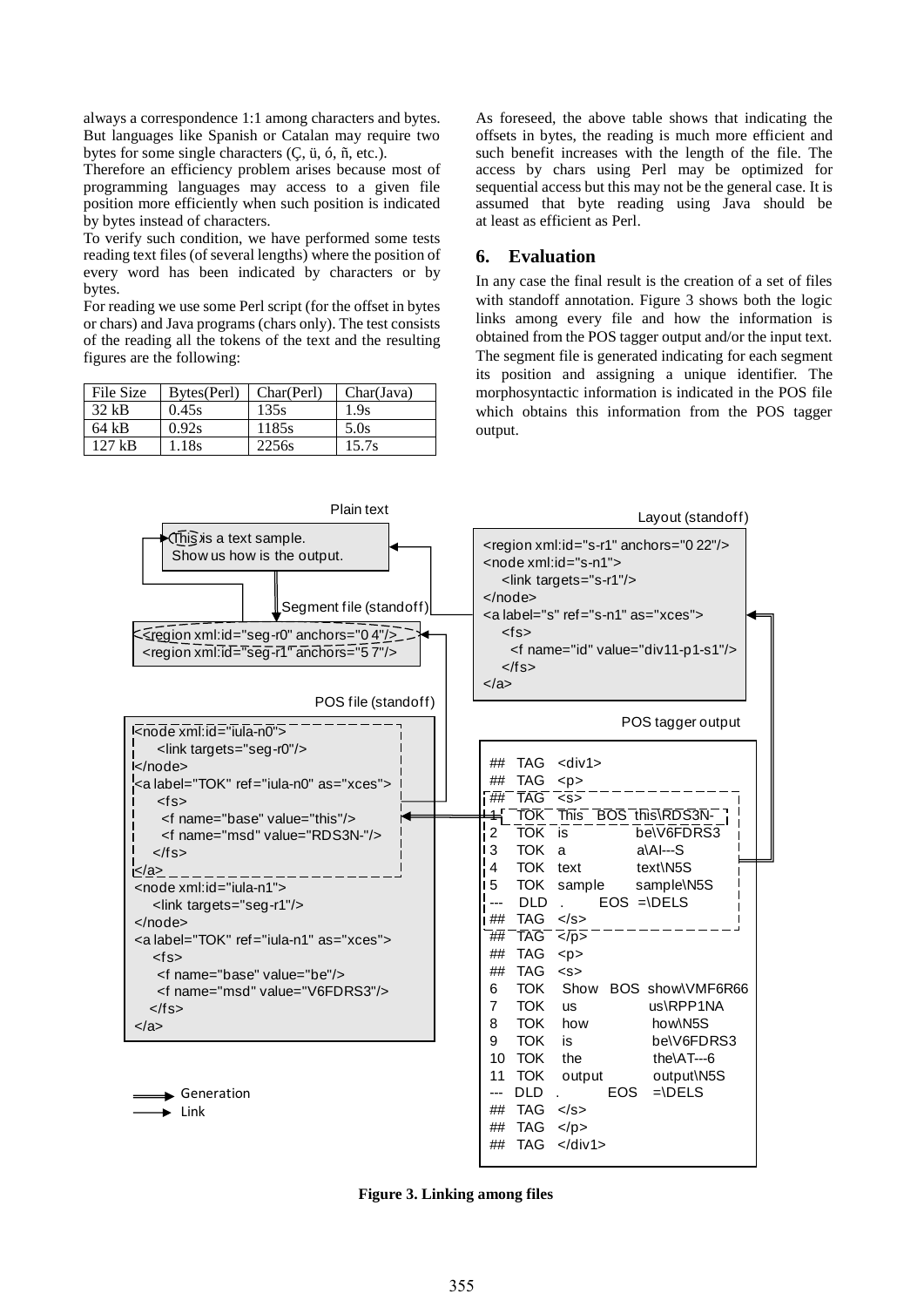always a correspondence 1:1 among characters and bytes. But languages like Spanish or Catalan may require two bytes for some single characters (Ç, ü, ó, ñ, etc.).

Therefore an efficiency problem arises because most of programming languages may access to a given file position more efficiently when such position is indicated by bytes instead of characters.

To verify such condition, we have performed some tests reading text files (of several lengths) where the position of every word has been indicated by characters or by bytes.

For reading we use some Perl script (for the offset in bytes or chars) and Java programs (chars only). The test consists of the reading all the tokens of the text and the resulting figures are the following:

| File Size | Bytes(Perl) | Char(Perl) | Char(Java) |
|-----------|-------------|------------|------------|
| 32 kB     | 0.45s       | 135s       | 1.9s       |
| 64 kB     | 0.92s       | 1185s      | 5.0s       |
| $127$ kB  | 1.18s       | 2256s      | 15.7s      |

As foreseed, the above table shows that indicating the offsets in bytes, the reading is much more efficient and such benefit increases with the length of the file. The access by chars using Perl may be optimized for sequential access but this may not be the general case. It is assumed that byte reading using Java should be at least as efficient as Perl.

# **6. Evaluation**

In any case the final result is the creation of a set of files with standoff annotation. Figure 3 shows both the logic links among every file and how the information is obtained from the POS tagger output and/or the input text. The segment file is generated indicating for each segment its position and assigning a unique identifier. The morphosyntactic information is indicated in the POS file which obtains this information from the POS tagger output.